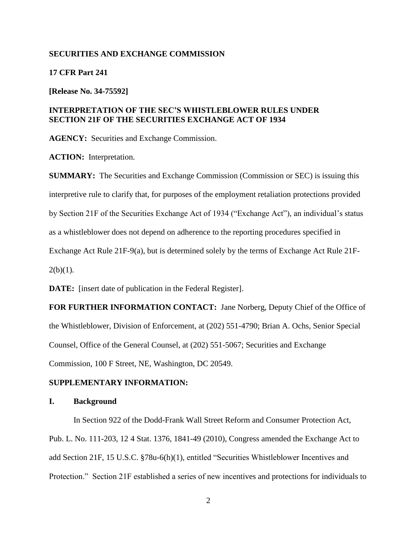#### **SECURITIES AND EXCHANGE COMMISSION**

### **17 CFR Part 241**

**[Release No. 34-75592]**

## **INTERPRETATION OF THE SEC'S WHISTLEBLOWER RULES UNDER SECTION 21F OF THE SECURITIES EXCHANGE ACT OF 1934**

**AGENCY:** Securities and Exchange Commission.

**ACTION:** Interpretation.

**SUMMARY:** The Securities and Exchange Commission (Commission or SEC) is issuing this interpretive rule to clarify that, for purposes of the employment retaliation protections provided by Section 21F of the Securities Exchange Act of 1934 ("Exchange Act"), an individual's status as a whistleblower does not depend on adherence to the reporting procedures specified in Exchange Act Rule 21F-9(a), but is determined solely by the terms of Exchange Act Rule 21F- $2(b)(1)$ .

**DATE:** [insert date of publication in the Federal Register].

**FOR FURTHER INFORMATION CONTACT:** Jane Norberg, Deputy Chief of the Office of the Whistleblower, Division of Enforcement, at (202) 551-4790; Brian A. Ochs, Senior Special Counsel, Office of the General Counsel, at (202) 551-5067; Securities and Exchange Commission, 100 F Street, NE, Washington, DC 20549.

### **SUPPLEMENTARY INFORMATION:**

### **I. Background**

In Section 922 of the Dodd-Frank Wall Street Reform and Consumer Protection Act, Pub. L. No. 111-203, 12 4 Stat. 1376, 1841-49 (2010), Congress amended the Exchange Act to add Section 21F, 15 U.S.C. §78u-6(h)(1), entitled "Securities Whistleblower Incentives and Protection." Section 21F established a series of new incentives and protections for individuals to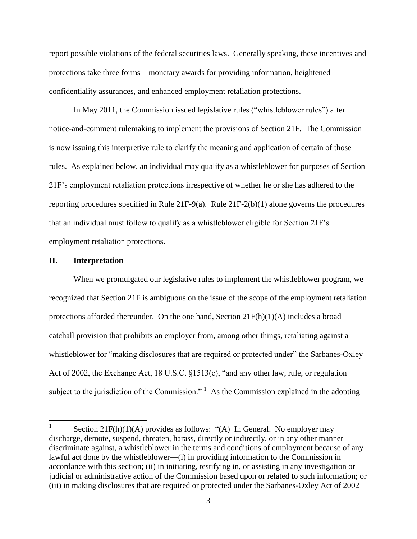report possible violations of the federal securities laws. Generally speaking, these incentives and protections take three forms—monetary awards for providing information, heightened confidentiality assurances, and enhanced employment retaliation protections.

In May 2011, the Commission issued legislative rules ("whistleblower rules") after notice-and-comment rulemaking to implement the provisions of Section 21F. The Commission is now issuing this interpretive rule to clarify the meaning and application of certain of those rules. As explained below, an individual may qualify as a whistleblower for purposes of Section 21F's employment retaliation protections irrespective of whether he or she has adhered to the reporting procedures specified in Rule 21F-9(a). Rule 21F-2(b)(1) alone governs the procedures that an individual must follow to qualify as a whistleblower eligible for Section 21F's employment retaliation protections.

#### **II. Interpretation**

 $\overline{\phantom{a}}$ 

When we promulgated our legislative rules to implement the whistleblower program, we recognized that Section 21F is ambiguous on the issue of the scope of the employment retaliation protections afforded thereunder. On the one hand, Section  $21F(h)(1)(A)$  includes a broad catchall provision that prohibits an employer from, among other things, retaliating against a whistleblower for "making disclosures that are required or protected under" the Sarbanes-Oxley Act of 2002, the Exchange Act, 18 U.S.C. §1513(e), "and any other law, rule, or regulation subject to the jurisdiction of the Commission."  $\frac{1}{1}$  As the Commission explained in the adopting

<sup>1</sup> Section  $21F(h)(1)(A)$  provides as follows: "(A) In General. No employer may discharge, demote, suspend, threaten, harass, directly or indirectly, or in any other manner discriminate against, a whistleblower in the terms and conditions of employment because of any lawful act done by the whistleblower—(i) in providing information to the Commission in accordance with this section; (ii) in initiating, testifying in, or assisting in any investigation or judicial or administrative action of the Commission based upon or related to such information; or (iii) in making disclosures that are required or protected under the Sarbanes-Oxley Act of 2002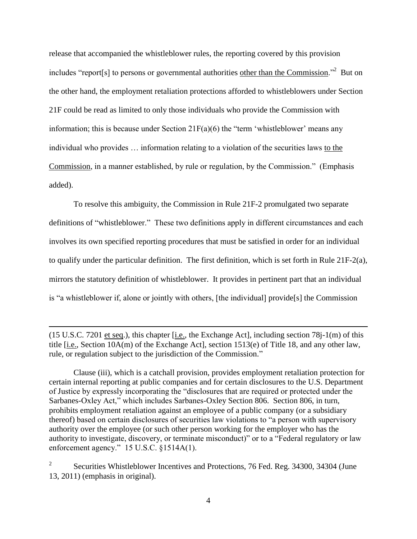release that accompanied the whistleblower rules, the reporting covered by this provision includes "report[s] to persons or governmental authorities other than the Commission."<sup>2</sup> But on the other hand, the employment retaliation protections afforded to whistleblowers under Section 21F could be read as limited to only those individuals who provide the Commission with information; this is because under Section  $21F(a)(6)$  the "term 'whistleblower' means any individual who provides … information relating to a violation of the securities laws to the Commission, in a manner established, by rule or regulation, by the Commission." (Emphasis added).

To resolve this ambiguity, the Commission in Rule 21F-2 promulgated two separate definitions of "whistleblower." These two definitions apply in different circumstances and each involves its own specified reporting procedures that must be satisfied in order for an individual to qualify under the particular definition. The first definition, which is set forth in Rule 21F-2(a), mirrors the statutory definition of whistleblower. It provides in pertinent part that an individual is "a whistleblower if, alone or jointly with others, [the individual] provide[s] the Commission

 $(15 \text{ U.S.C. } 7201 \text{ et seq.})$ , this chapter [i.e., the Exchange Act], including section 78j-1(m) of this title [i.e., Section 10A(m) of the Exchange Act], section 1513(e) of Title 18, and any other law, rule, or regulation subject to the jurisdiction of the Commission."

 $\overline{\phantom{a}}$ 

Clause (iii), which is a catchall provision, provides employment retaliation protection for certain internal reporting at public companies and for certain disclosures to the U.S. Department of Justice by expressly incorporating the "disclosures that are required or protected under the Sarbanes-Oxley Act," which includes Sarbanes-Oxley Section 806. Section 806, in turn, prohibits employment retaliation against an employee of a public company (or a subsidiary thereof) based on certain disclosures of securities law violations to "a person with supervisory authority over the employee (or such other person working for the employer who has the authority to investigate, discovery, or terminate misconduct)" or to a "Federal regulatory or law enforcement agency." 15 U.S.C. §1514A(1).

2 Securities Whistleblower Incentives and Protections, 76 Fed. Reg. 34300, 34304 (June 13, 2011) (emphasis in original).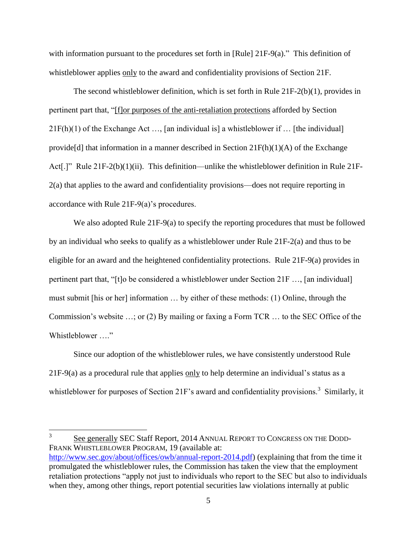with information pursuant to the procedures set forth in [Rule] 21F-9(a)." This definition of whistleblower applies only to the award and confidentiality provisions of Section 21F.

The second whistleblower definition, which is set forth in Rule  $21F-2(b)(1)$ , provides in pertinent part that, "[f]or purposes of the anti-retaliation protections afforded by Section  $21F(h)(1)$  of the Exchange Act ..., [an individual is] a whistleblower if ... [the individual] provide<sup>[d]</sup> that information in a manner described in Section  $21F(h)(1)(A)$  of the Exchange Act[.]" Rule 21F-2(b)(1)(ii). This definition—unlike the whistleblower definition in Rule 21F-2(a) that applies to the award and confidentiality provisions—does not require reporting in accordance with Rule 21F-9(a)'s procedures.

We also adopted Rule 21F-9(a) to specify the reporting procedures that must be followed by an individual who seeks to qualify as a whistleblower under Rule 21F-2(a) and thus to be eligible for an award and the heightened confidentiality protections. Rule 21F-9(a) provides in pertinent part that, "[t]o be considered a whistleblower under Section 21F …, [an individual] must submit [his or her] information … by either of these methods: (1) Online, through the Commission's website …; or (2) By mailing or faxing a Form TCR … to the SEC Office of the Whistleblower …."

Since our adoption of the whistleblower rules, we have consistently understood Rule 21F-9(a) as a procedural rule that applies only to help determine an individual's status as a whistleblower for purposes of Section 21F's award and confidentiality provisions.<sup>3</sup> Similarly, it

 3 See generally SEC Staff Report, 2014 ANNUAL REPORT TO CONGRESS ON THE DODD-FRANK WHISTLEBLOWER PROGRAM, 19 (available at: [http://www.sec.gov/about/offices/owb/annual-report-2014.pdf\)](http://www.sec.gov/about/offices/owb/annual-report-2014.pdf) (explaining that from the time it promulgated the whistleblower rules, the Commission has taken the view that the employment retaliation protections "apply not just to individuals who report to the SEC but also to individuals when they, among other things, report potential securities law violations internally at public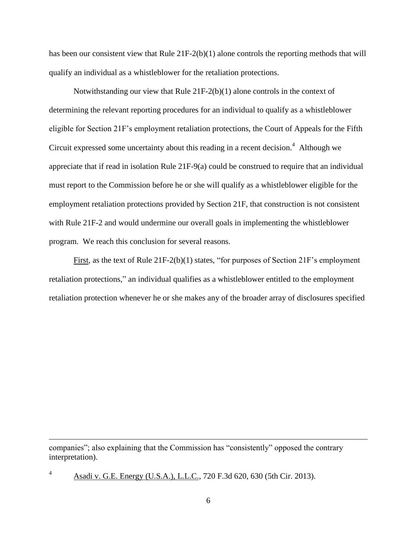has been our consistent view that Rule 21F-2(b)(1) alone controls the reporting methods that will qualify an individual as a whistleblower for the retaliation protections.

Notwithstanding our view that Rule  $21F-2(b)(1)$  alone controls in the context of determining the relevant reporting procedures for an individual to qualify as a whistleblower eligible for Section 21F's employment retaliation protections, the Court of Appeals for the Fifth Circuit expressed some uncertainty about this reading in a recent decision. $4$  Although we appreciate that if read in isolation Rule 21F-9(a) could be construed to require that an individual must report to the Commission before he or she will qualify as a whistleblower eligible for the employment retaliation protections provided by Section 21F, that construction is not consistent with Rule 21F-2 and would undermine our overall goals in implementing the whistleblower program. We reach this conclusion for several reasons.

First, as the text of Rule 21F-2(b)(1) states, "for purposes of Section 21F's employment retaliation protections," an individual qualifies as a whistleblower entitled to the employment retaliation protection whenever he or she makes any of the broader array of disclosures specified

companies"; also explaining that the Commission has "consistently" opposed the contrary interpretation).

Asadi v. G.E. Energy (U.S.A.), L.L.C., 720 F.3d 620, 630 (5th Cir. 2013).

l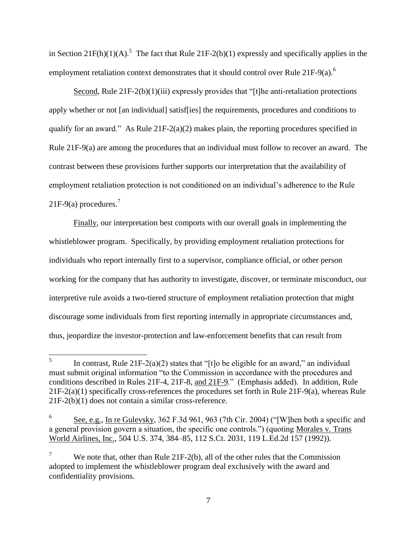in Section 21 $F(h)(1)(A)$ .<sup>5</sup> The fact that Rule 21F-2(b)(1) expressly and specifically applies in the employment retaliation context demonstrates that it should control over Rule  $21F-9(a)$ .<sup>6</sup>

Second, Rule 21F-2(b)(1)(iii) expressly provides that "[t]he anti-retaliation protections apply whether or not [an individual] satisf[ies] the requirements, procedures and conditions to qualify for an award." As Rule  $21F-2(a)(2)$  makes plain, the reporting procedures specified in Rule 21F-9(a) are among the procedures that an individual must follow to recover an award. The contrast between these provisions further supports our interpretation that the availability of employment retaliation protection is not conditioned on an individual's adherence to the Rule 21F-9(a) procedures.<sup>7</sup>

Finally, our interpretation best comports with our overall goals in implementing the whistleblower program. Specifically, by providing employment retaliation protections for individuals who report internally first to a supervisor, compliance official, or other person working for the company that has authority to investigate, discover, or terminate misconduct, our interpretive rule avoids a two-tiered structure of employment retaliation protection that might discourage some individuals from first reporting internally in appropriate circumstances and, thus, jeopardize the investor-protection and law-enforcement benefits that can result from

 5 In contrast, Rule  $21F-2(a)(2)$  states that "[t]o be eligible for an award," an individual must submit original information "to the Commission in accordance with the procedures and conditions described in Rules 21F-4, 21F-8, and 21F-9." (Emphasis added). In addition, Rule 21F-2(a)(1) specifically cross-references the procedures set forth in Rule 21F-9(a), whereas Rule 21F-2(b)(1) does not contain a similar cross-reference.

<sup>6</sup> See, e.g., In re Gulevsky, 362 F.3d 961, 963 (7th Cir. 2004) ("[W]hen both a specific and a general provision govern a situation, the specific one controls.") (quoting Morales v. Trans World Airlines, Inc., 504 U.S. 374, 384–85, 112 S.Ct. 2031, 119 L.Ed.2d 157 (1992)).

We note that, other than Rule 21F-2(b), all of the other rules that the Commission adopted to implement the whistleblower program deal exclusively with the award and confidentiality provisions.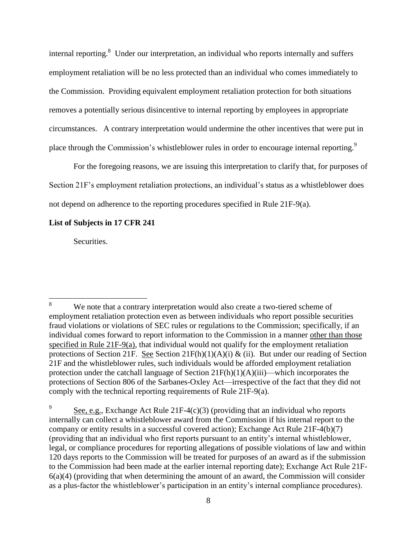internal reporting.<sup>8</sup> Under our interpretation, an individual who reports internally and suffers employment retaliation will be no less protected than an individual who comes immediately to the Commission. Providing equivalent employment retaliation protection for both situations removes a potentially serious disincentive to internal reporting by employees in appropriate circumstances. A contrary interpretation would undermine the other incentives that were put in place through the Commission's whistleblower rules in order to encourage internal reporting.<sup>9</sup>

For the foregoing reasons, we are issuing this interpretation to clarify that, for purposes of Section 21F's employment retaliation protections, an individual's status as a whistleblower does not depend on adherence to the reporting procedures specified in Rule 21F-9(a).

## **List of Subjects in 17 CFR 241**

Securities.

 $8\,$ We note that a contrary interpretation would also create a two-tiered scheme of employment retaliation protection even as between individuals who report possible securities fraud violations or violations of SEC rules or regulations to the Commission; specifically, if an individual comes forward to report information to the Commission in a manner other than those specified in Rule 21F-9(a), that individual would not qualify for the employment retaliation protections of Section 21F. See Section  $21F(h)(1)(A)(i) \& (ii)$ . But under our reading of Section 21F and the whistleblower rules, such individuals would be afforded employment retaliation protection under the catchall language of Section  $21F(h)(1)(A)(iii)$ —which incorporates the protections of Section 806 of the Sarbanes-Oxley Act—irrespective of the fact that they did not comply with the technical reporting requirements of Rule 21F-9(a).

<sup>9</sup> See, e.g., Exchange Act Rule  $21F-4(c)(3)$  (providing that an individual who reports internally can collect a whistleblower award from the Commission if his internal report to the company or entity results in a successful covered action); Exchange Act Rule 21F-4(b)(7) (providing that an individual who first reports pursuant to an entity's internal whistleblower, legal, or compliance procedures for reporting allegations of possible violations of law and within 120 days reports to the Commission will be treated for purposes of an award as if the submission to the Commission had been made at the earlier internal reporting date); Exchange Act Rule 21F- $6(a)(4)$  (providing that when determining the amount of an award, the Commission will consider as a plus-factor the whistleblower's participation in an entity's internal compliance procedures).